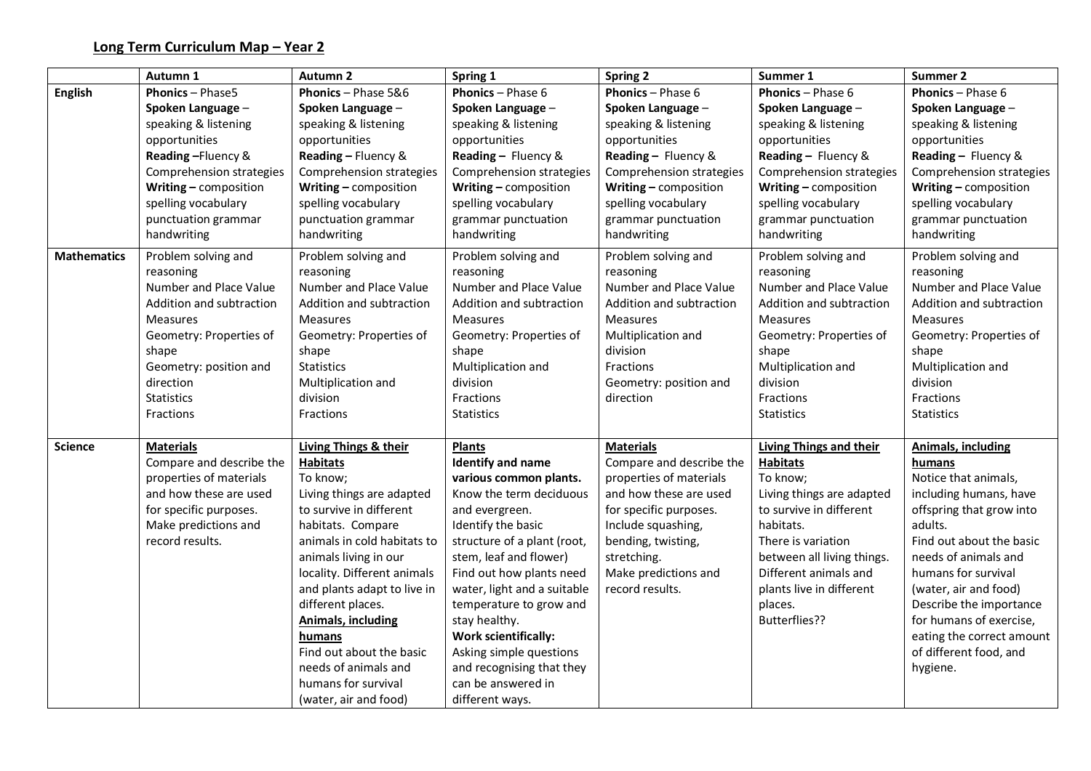|                    | Autumn 1                 | <b>Autumn 2</b>             | Spring 1                    | <b>Spring 2</b>          | Summer 1                       | Summer 2                  |
|--------------------|--------------------------|-----------------------------|-----------------------------|--------------------------|--------------------------------|---------------------------|
| <b>English</b>     | <b>Phonics - Phase5</b>  | Phonics - Phase 5&6         | <b>Phonics</b> - Phase 6    | <b>Phonics</b> - Phase 6 | <b>Phonics</b> - Phase 6       | <b>Phonics</b> - Phase 6  |
|                    | Spoken Language -        | Spoken Language -           | Spoken Language -           | Spoken Language -        | Spoken Language -              | Spoken Language -         |
|                    | speaking & listening     | speaking & listening        | speaking & listening        | speaking & listening     | speaking & listening           | speaking & listening      |
|                    | opportunities            | opportunities               | opportunities               | opportunities            | opportunities                  | opportunities             |
|                    | Reading-Fluency &        | Reading - Fluency &         | Reading - Fluency &         | Reading - Fluency &      | Reading - Fluency &            | Reading - Fluency &       |
|                    | Comprehension strategies | Comprehension strategies    | Comprehension strategies    | Comprehension strategies | Comprehension strategies       | Comprehension strategies  |
|                    | Writing - composition    | Writing - composition       | Writing - composition       | Writing - composition    | Writing - composition          | Writing - composition     |
|                    | spelling vocabulary      | spelling vocabulary         | spelling vocabulary         | spelling vocabulary      | spelling vocabulary            | spelling vocabulary       |
|                    | punctuation grammar      | punctuation grammar         | grammar punctuation         | grammar punctuation      | grammar punctuation            | grammar punctuation       |
|                    | handwriting              | handwriting                 | handwriting                 | handwriting              | handwriting                    | handwriting               |
| <b>Mathematics</b> | Problem solving and      | Problem solving and         | Problem solving and         | Problem solving and      | Problem solving and            | Problem solving and       |
|                    | reasoning                | reasoning                   | reasoning                   | reasoning                | reasoning                      | reasoning                 |
|                    | Number and Place Value   | Number and Place Value      | Number and Place Value      | Number and Place Value   | Number and Place Value         | Number and Place Value    |
|                    | Addition and subtraction | Addition and subtraction    | Addition and subtraction    | Addition and subtraction | Addition and subtraction       | Addition and subtraction  |
|                    | <b>Measures</b>          | <b>Measures</b>             | <b>Measures</b>             | <b>Measures</b>          | <b>Measures</b>                | <b>Measures</b>           |
|                    | Geometry: Properties of  | Geometry: Properties of     | Geometry: Properties of     | Multiplication and       | Geometry: Properties of        | Geometry: Properties of   |
|                    | shape                    | shape                       | shape                       | division                 | shape                          | shape                     |
|                    | Geometry: position and   | <b>Statistics</b>           | Multiplication and          | Fractions                | Multiplication and             | Multiplication and        |
|                    | direction                | Multiplication and          | division                    | Geometry: position and   | division                       | division                  |
|                    | <b>Statistics</b>        | division                    | Fractions                   | direction                | Fractions                      | Fractions                 |
|                    | Fractions                | Fractions                   | <b>Statistics</b>           |                          | <b>Statistics</b>              | <b>Statistics</b>         |
| <b>Science</b>     | <b>Materials</b>         | Living Things & their       | <b>Plants</b>               | <b>Materials</b>         | <b>Living Things and their</b> | Animals, including        |
|                    | Compare and describe the | <b>Habitats</b>             | <b>Identify and name</b>    | Compare and describe the | <b>Habitats</b>                | humans                    |
|                    | properties of materials  | To know;                    | various common plants.      | properties of materials  | To know;                       | Notice that animals,      |
|                    | and how these are used   | Living things are adapted   | Know the term deciduous     | and how these are used   | Living things are adapted      | including humans, have    |
|                    | for specific purposes.   | to survive in different     | and evergreen.              | for specific purposes.   | to survive in different        | offspring that grow into  |
|                    | Make predictions and     | habitats. Compare           | Identify the basic          | Include squashing,       | habitats.                      | adults.                   |
|                    | record results.          | animals in cold habitats to | structure of a plant (root, | bending, twisting,       | There is variation             | Find out about the basic  |
|                    |                          | animals living in our       | stem, leaf and flower)      | stretching.              | between all living things.     | needs of animals and      |
|                    |                          | locality. Different animals | Find out how plants need    | Make predictions and     | Different animals and          | humans for survival       |
|                    |                          | and plants adapt to live in | water, light and a suitable | record results.          | plants live in different       | (water, air and food)     |
|                    |                          | different places.           | temperature to grow and     |                          | places.                        | Describe the importance   |
|                    |                          | <b>Animals, including</b>   | stay healthy.               |                          | Butterflies??                  | for humans of exercise,   |
|                    |                          | humans                      | <b>Work scientifically:</b> |                          |                                | eating the correct amount |
|                    |                          | Find out about the basic    | Asking simple questions     |                          |                                | of different food, and    |
|                    |                          | needs of animals and        | and recognising that they   |                          |                                | hygiene.                  |
|                    |                          | humans for survival         | can be answered in          |                          |                                |                           |
|                    |                          | (water, air and food)       | different ways.             |                          |                                |                           |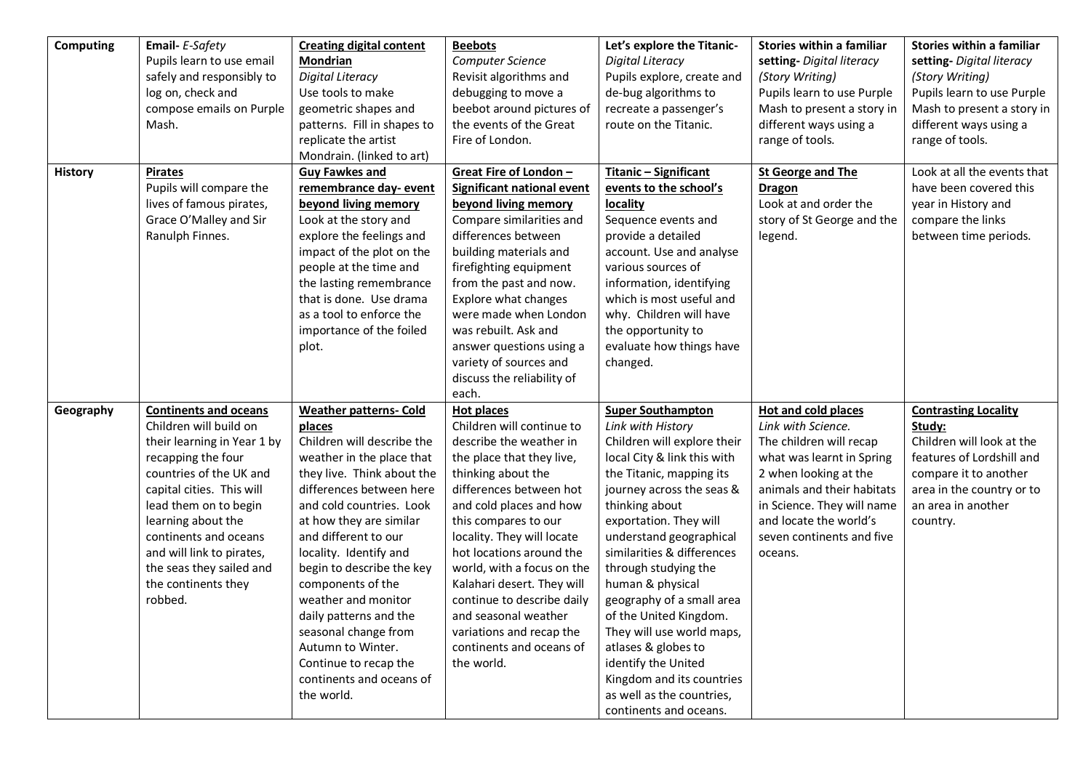| <b>Computing</b> | Email- E-Safety              | <b>Creating digital content</b> | <b>Beebots</b>                    | Let's explore the Titanic-  | Stories within a familiar  | Stories within a familiar   |
|------------------|------------------------------|---------------------------------|-----------------------------------|-----------------------------|----------------------------|-----------------------------|
|                  | Pupils learn to use email    | Mondrian                        | Computer Science                  | Digital Literacy            | setting- Digital literacy  | setting- Digital literacy   |
|                  | safely and responsibly to    | Digital Literacy                | Revisit algorithms and            | Pupils explore, create and  | (Story Writing)            | (Story Writing)             |
|                  | log on, check and            | Use tools to make               | debugging to move a               | de-bug algorithms to        | Pupils learn to use Purple | Pupils learn to use Purple  |
|                  | compose emails on Purple     | geometric shapes and            | beebot around pictures of         | recreate a passenger's      | Mash to present a story in | Mash to present a story in  |
|                  | Mash.                        | patterns. Fill in shapes to     | the events of the Great           | route on the Titanic.       | different ways using a     | different ways using a      |
|                  |                              | replicate the artist            | Fire of London.                   |                             | range of tools.            | range of tools.             |
|                  |                              | Mondrain. (linked to art)       |                                   |                             |                            |                             |
| <b>History</b>   | <b>Pirates</b>               | <b>Guy Fawkes and</b>           | Great Fire of London -            | Titanic - Significant       | <b>St George and The</b>   | Look at all the events that |
|                  | Pupils will compare the      | remembrance day-event           | <b>Significant national event</b> | events to the school's      | <b>Dragon</b>              | have been covered this      |
|                  | lives of famous pirates,     | beyond living memory            | beyond living memory              | locality                    | Look at and order the      | year in History and         |
|                  | Grace O'Malley and Sir       | Look at the story and           | Compare similarities and          | Sequence events and         | story of St George and the | compare the links           |
|                  | Ranulph Finnes.              | explore the feelings and        | differences between               | provide a detailed          | legend.                    | between time periods.       |
|                  |                              | impact of the plot on the       | building materials and            | account. Use and analyse    |                            |                             |
|                  |                              | people at the time and          | firefighting equipment            | various sources of          |                            |                             |
|                  |                              | the lasting remembrance         | from the past and now.            | information, identifying    |                            |                             |
|                  |                              | that is done. Use drama         | Explore what changes              | which is most useful and    |                            |                             |
|                  |                              | as a tool to enforce the        | were made when London             | why. Children will have     |                            |                             |
|                  |                              | importance of the foiled        | was rebuilt. Ask and              | the opportunity to          |                            |                             |
|                  |                              | plot.                           | answer questions using a          | evaluate how things have    |                            |                             |
|                  |                              |                                 | variety of sources and            | changed.                    |                            |                             |
|                  |                              |                                 | discuss the reliability of        |                             |                            |                             |
|                  |                              |                                 | each.                             |                             |                            |                             |
| Geography        | <b>Continents and oceans</b> | <b>Weather patterns- Cold</b>   | Hot places                        | <b>Super Southampton</b>    | <b>Hot and cold places</b> | <b>Contrasting Locality</b> |
|                  | Children will build on       | places                          | Children will continue to         | Link with History           | Link with Science.         | Study:                      |
|                  | their learning in Year 1 by  | Children will describe the      | describe the weather in           | Children will explore their | The children will recap    | Children will look at the   |
|                  | recapping the four           | weather in the place that       | the place that they live,         | local City & link this with | what was learnt in Spring  | features of Lordshill and   |
|                  | countries of the UK and      | they live. Think about the      | thinking about the                | the Titanic, mapping its    | 2 when looking at the      | compare it to another       |
|                  | capital cities. This will    | differences between here        | differences between hot           | journey across the seas &   | animals and their habitats | area in the country or to   |
|                  | lead them on to begin        | and cold countries. Look        | and cold places and how           | thinking about              | in Science. They will name | an area in another          |
|                  | learning about the           | at how they are similar         | this compares to our              | exportation. They will      | and locate the world's     | country.                    |
|                  | continents and oceans        | and different to our            | locality. They will locate        | understand geographical     | seven continents and five  |                             |
|                  | and will link to pirates,    | locality. Identify and          | hot locations around the          | similarities & differences  | oceans.                    |                             |
|                  | the seas they sailed and     | begin to describe the key       | world, with a focus on the        | through studying the        |                            |                             |
|                  | the continents they          | components of the               | Kalahari desert. They will        | human & physical            |                            |                             |
|                  | robbed.                      | weather and monitor             | continue to describe daily        | geography of a small area   |                            |                             |
|                  |                              | daily patterns and the          | and seasonal weather              | of the United Kingdom.      |                            |                             |
|                  |                              | seasonal change from            | variations and recap the          | They will use world maps,   |                            |                             |
|                  |                              | Autumn to Winter.               | continents and oceans of          | atlases & globes to         |                            |                             |
|                  |                              | Continue to recap the           | the world.                        | identify the United         |                            |                             |
|                  |                              | continents and oceans of        |                                   | Kingdom and its countries   |                            |                             |
|                  |                              | the world.                      |                                   | as well as the countries,   |                            |                             |
|                  |                              |                                 |                                   | continents and oceans.      |                            |                             |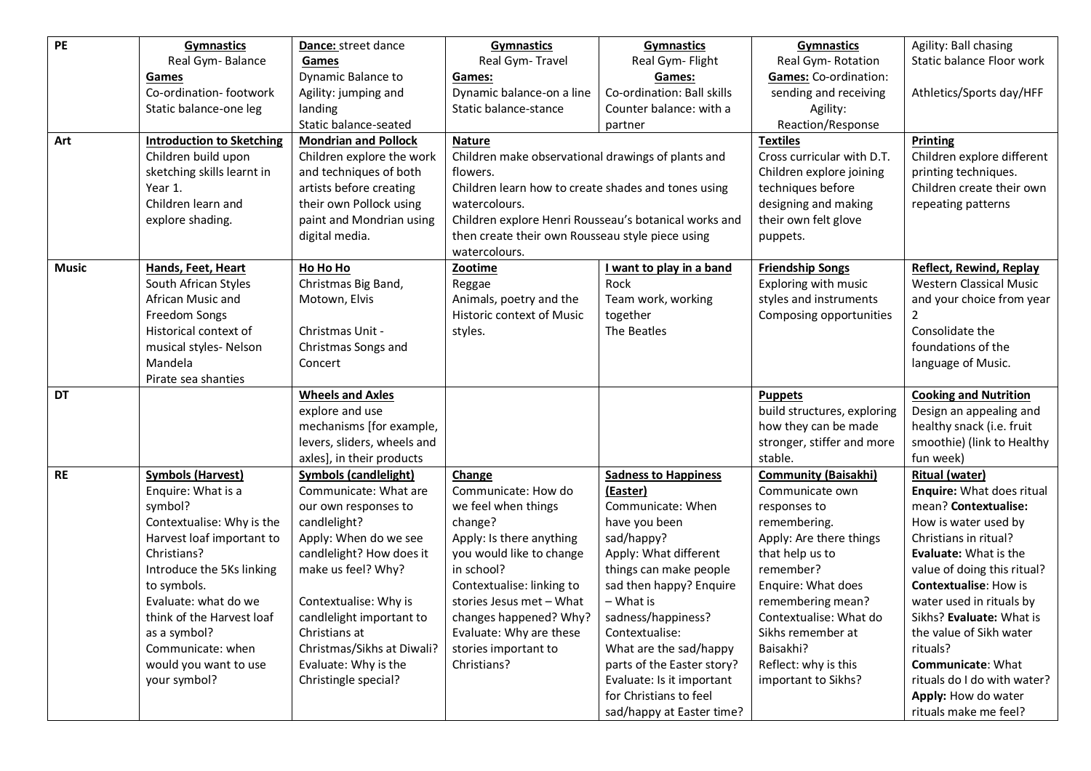| PE           | <b>Gymnastics</b>                | Dance: street dance          | <b>Gymnastics</b>                                     | <b>Gymnastics</b>           | <b>Gymnastics</b>           | Agility: Ball chasing          |
|--------------|----------------------------------|------------------------------|-------------------------------------------------------|-----------------------------|-----------------------------|--------------------------------|
|              | Real Gym-Balance                 | Games                        | Real Gym-Travel                                       | Real Gym- Flight            | Real Gym-Rotation           | Static balance Floor work      |
|              | Games                            | Dynamic Balance to           | Games:                                                | Games:                      | Games: Co-ordination:       |                                |
|              | Co-ordination-footwork           | Agility: jumping and         | Dynamic balance-on a line                             | Co-ordination: Ball skills  | sending and receiving       | Athletics/Sports day/HFF       |
|              | Static balance-one leg           | landing                      | Static balance-stance                                 | Counter balance: with a     | Agility:                    |                                |
|              |                                  | Static balance-seated        |                                                       | partner                     | Reaction/Response           |                                |
| Art          | <b>Introduction to Sketching</b> | <b>Mondrian and Pollock</b>  | <b>Nature</b>                                         |                             | <b>Textiles</b>             | Printing                       |
|              | Children build upon              | Children explore the work    | Children make observational drawings of plants and    |                             | Cross curricular with D.T.  | Children explore different     |
|              | sketching skills learnt in       | and techniques of both       | flowers.                                              |                             | Children explore joining    | printing techniques.           |
|              | Year 1.                          | artists before creating      | Children learn how to create shades and tones using   |                             | techniques before           | Children create their own      |
|              | Children learn and               | their own Pollock using      | watercolours.                                         |                             | designing and making        | repeating patterns             |
|              | explore shading.                 | paint and Mondrian using     | Children explore Henri Rousseau's botanical works and |                             | their own felt glove        |                                |
|              |                                  | digital media.               | then create their own Rousseau style piece using      |                             | puppets.                    |                                |
|              |                                  |                              | watercolours.                                         |                             |                             |                                |
| <b>Music</b> | Hands, Feet, Heart               | Ho Ho Ho                     | Zootime                                               | I want to play in a band    | <b>Friendship Songs</b>     | <b>Reflect, Rewind, Replay</b> |
|              | South African Styles             | Christmas Big Band,          | Reggae                                                | Rock                        | Exploring with music        | <b>Western Classical Music</b> |
|              | African Music and                | Motown, Elvis                | Animals, poetry and the                               | Team work, working          | styles and instruments      | and your choice from year      |
|              | Freedom Songs                    |                              | <b>Historic context of Music</b>                      | together                    | Composing opportunities     | 2                              |
|              | Historical context of            | Christmas Unit -             | styles.                                               | The Beatles                 |                             | Consolidate the                |
|              | musical styles- Nelson           | Christmas Songs and          |                                                       |                             |                             | foundations of the             |
|              | Mandela                          | Concert                      |                                                       |                             |                             | language of Music.             |
|              | Pirate sea shanties              |                              |                                                       |                             |                             |                                |
| DT           |                                  | <b>Wheels and Axles</b>      |                                                       |                             | <b>Puppets</b>              | <b>Cooking and Nutrition</b>   |
|              |                                  | explore and use              |                                                       |                             | build structures, exploring | Design an appealing and        |
|              |                                  | mechanisms [for example,     |                                                       |                             | how they can be made        | healthy snack (i.e. fruit      |
|              |                                  | levers, sliders, wheels and  |                                                       |                             | stronger, stiffer and more  | smoothie) (link to Healthy     |
|              |                                  | axles], in their products    |                                                       |                             | stable.                     | fun week)                      |
| <b>RE</b>    | <b>Symbols (Harvest)</b>         | <b>Symbols (candlelight)</b> | Change                                                | <b>Sadness to Happiness</b> | <b>Community (Baisakhi)</b> | <b>Ritual (water)</b>          |
|              | Enquire: What is a               | Communicate: What are        | Communicate: How do                                   | (Easter)                    | Communicate own             | Enquire: What does ritual      |
|              | symbol?                          | our own responses to         | we feel when things                                   | Communicate: When           | responses to                | mean? Contextualise:           |
|              | Contextualise: Why is the        | candlelight?                 | change?                                               | have you been               | remembering.                | How is water used by           |
|              | Harvest loaf important to        | Apply: When do we see        | Apply: Is there anything                              | sad/happy?                  | Apply: Are there things     | Christians in ritual?          |
|              | Christians?                      | candlelight? How does it     | you would like to change                              | Apply: What different       | that help us to             | Evaluate: What is the          |
|              | Introduce the 5Ks linking        | make us feel? Why?           | in school?                                            | things can make people      | remember?                   | value of doing this ritual?    |
|              | to symbols.                      |                              | Contextualise: linking to                             | sad then happy? Enquire     | Enquire: What does          | <b>Contextualise: How is</b>   |
|              | Evaluate: what do we             | Contextualise: Why is        | stories Jesus met - What                              | – What is                   | remembering mean?           | water used in rituals by       |
|              | think of the Harvest loaf        | candlelight important to     | changes happened? Why?                                | sadness/happiness?          | Contextualise: What do      | Sikhs? Evaluate: What is       |
|              | as a symbol?                     | Christians at                | Evaluate: Why are these                               | Contextualise:              | Sikhs remember at           | the value of Sikh water        |
|              | Communicate: when                | Christmas/Sikhs at Diwali?   | stories important to                                  | What are the sad/happy      | Baisakhi?                   | rituals?                       |
|              | would you want to use            | Evaluate: Why is the         | Christians?                                           | parts of the Easter story?  | Reflect: why is this        | <b>Communicate: What</b>       |
|              | your symbol?                     | Christingle special?         |                                                       | Evaluate: Is it important   | important to Sikhs?         | rituals do I do with water?    |
|              |                                  |                              |                                                       | for Christians to feel      |                             | Apply: How do water            |
|              |                                  |                              |                                                       | sad/happy at Easter time?   |                             | rituals make me feel?          |